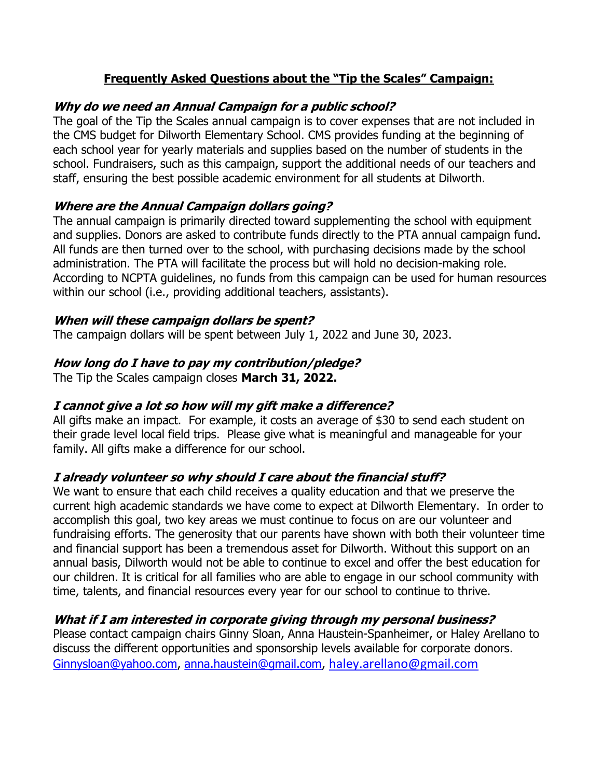#### Frequently Asked Questions about the "Tip the Scales" Campaign:

## Why do we need an Annual Campaign for a public school?

The goal of the Tip the Scales annual campaign is to cover expenses that are not included in the CMS budget for Dilworth Elementary School. CMS provides funding at the beginning of each school year for yearly materials and supplies based on the number of students in the school. Fundraisers, such as this campaign, support the additional needs of our teachers and staff, ensuring the best possible academic environment for all students at Dilworth.

## Where are the Annual Campaign dollars going?

The annual campaign is primarily directed toward supplementing the school with equipment and supplies. Donors are asked to contribute funds directly to the PTA annual campaign fund. All funds are then turned over to the school, with purchasing decisions made by the school administration. The PTA will facilitate the process but will hold no decision-making role. According to NCPTA guidelines, no funds from this campaign can be used for human resources within our school (i.e., providing additional teachers, assistants).

#### When will these campaign dollars be spent?

The campaign dollars will be spent between July 1, 2022 and June 30, 2023.

### How long do I have to pay my contribution/pledge?

The Tip the Scales campaign closes March 31, 2022.

#### I cannot give a lot so how will my gift make a difference?

All gifts make an impact. For example, it costs an average of \$30 to send each student on their grade level local field trips. Please give what is meaningful and manageable for your family. All gifts make a difference for our school.

#### I already volunteer so why should I care about the financial stuff?

We want to ensure that each child receives a quality education and that we preserve the current high academic standards we have come to expect at Dilworth Elementary. In order to accomplish this goal, two key areas we must continue to focus on are our volunteer and fundraising efforts. The generosity that our parents have shown with both their volunteer time and financial support has been a tremendous asset for Dilworth. Without this support on an annual basis, Dilworth would not be able to continue to excel and offer the best education for our children. It is critical for all families who are able to engage in our school community with time, talents, and financial resources every year for our school to continue to thrive.

#### What if I am interested in corporate giving through my personal business?

Please contact campaign chairs Ginny Sloan, Anna Haustein-Spanheimer, or Haley Arellano to discuss the different opportunities and sponsorship levels available for corporate donors. Ginnysloan@yahoo.com, anna.haustein@gmail.com, haley.arellano@gmail.com